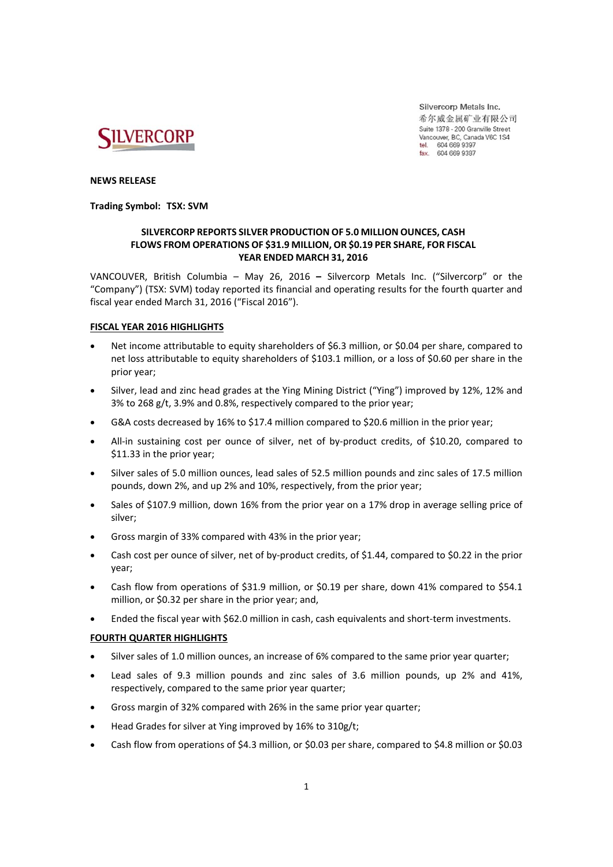

Silvercorp Metals Inc. 希尔威金属矿业有限公司 Suite 1378 - 200 Granville Street Vancouver, BC, Canada V6C 1S4 tel. 604 669 9397 fax. 604 669 9387

**NEWS RELEASE**

**Trading Symbol: TSX: SVM**

### **SILVERCORP REPORTS SILVER PRODUCTION OF 5.0 MILLION OUNCES, CASH FLOWS FROM OPERATIONS OF \$31.9 MILLION, OR \$0.19 PER SHARE, FOR FISCAL YEAR ENDED MARCH 31, 2016**

VANCOUVER, British Columbia – May 26, 2016 **–** Silvercorp Metals Inc. ("Silvercorp" or the "Company") (TSX: SVM) today reported its financial and operating results for the fourth quarter and fiscal year ended March 31, 2016 ("Fiscal 2016").

### **FISCAL YEAR 2016 HIGHLIGHTS**

- Net income attributable to equity shareholders of \$6.3 million, or \$0.04 per share, compared to net loss attributable to equity shareholders of \$103.1 million, or a loss of \$0.60 per share in the prior year;
- Silver, lead and zinc head grades at the Ying Mining District ("Ying") improved by 12%, 12% and 3% to 268 g/t, 3.9% and 0.8%, respectively compared to the prior year;
- G&A costs decreased by 16% to \$17.4 million compared to \$20.6 million in the prior year;
- All-in sustaining cost per ounce of silver, net of by-product credits, of \$10.20, compared to \$11.33 in the prior year;
- Silver sales of 5.0 million ounces, lead sales of 52.5 million pounds and zinc sales of 17.5 million pounds, down 2%, and up 2% and 10%, respectively, from the prior year;
- Sales of \$107.9 million, down 16% from the prior year on a 17% drop in average selling price of silver;
- Gross margin of 33% compared with 43% in the prior year;
- Cash cost per ounce of silver, net of by-product credits, of \$1.44, compared to \$0.22 in the prior year;
- Cash flow from operations of \$31.9 million, or \$0.19 per share, down 41% compared to \$54.1 million, or \$0.32 per share in the prior year; and,
- Ended the fiscal year with \$62.0 million in cash, cash equivalents and short-term investments.

### **FOURTH QUARTER HIGHLIGHTS**

- Silver sales of 1.0 million ounces, an increase of 6% compared to the same prior year quarter;
- Lead sales of 9.3 million pounds and zinc sales of 3.6 million pounds, up 2% and 41%, respectively, compared to the same prior year quarter;
- Gross margin of 32% compared with 26% in the same prior year quarter;
- Head Grades for silver at Ying improved by 16% to 310g/t;
- Cash flow from operations of \$4.3 million, or \$0.03 per share, compared to \$4.8 million or \$0.03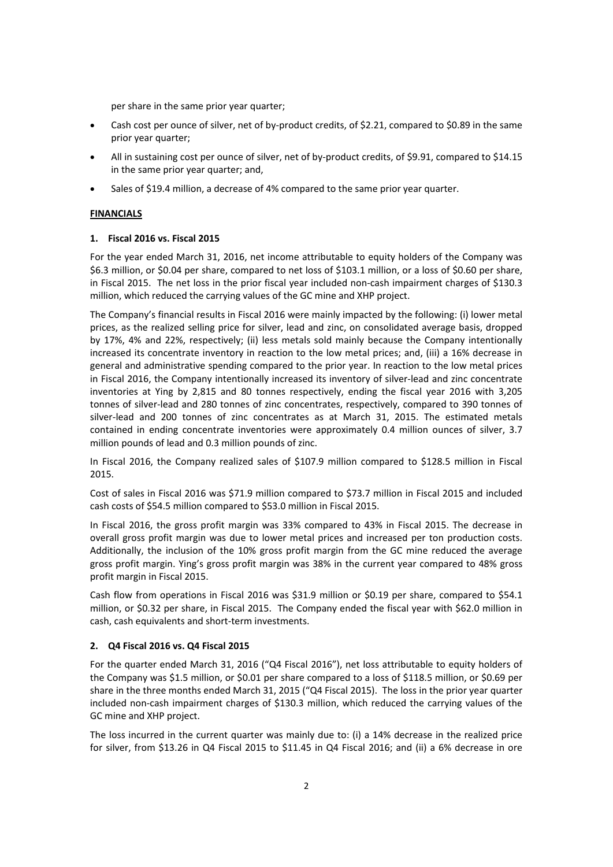per share in the same prior year quarter;

- Cash cost per ounce of silver, net of by‐product credits, of \$2.21, compared to \$0.89 in the same prior year quarter;
- All in sustaining cost per ounce of silver, net of by-product credits, of \$9.91, compared to \$14.15 in the same prior year quarter; and,
- Sales of \$19.4 million, a decrease of 4% compared to the same prior year quarter.

#### **FINANCIALS**

### **1. Fiscal 2016 vs. Fiscal 2015**

For the year ended March 31, 2016, net income attributable to equity holders of the Company was \$6.3 million, or \$0.04 per share, compared to net loss of \$103.1 million, or a loss of \$0.60 per share, in Fiscal 2015. The net loss in the prior fiscal year included non-cash impairment charges of \$130.3 million, which reduced the carrying values of the GC mine and XHP project.

The Company's financial results in Fiscal 2016 were mainly impacted by the following: (i) lower metal prices, as the realized selling price for silver, lead and zinc, on consolidated average basis, dropped by 17%, 4% and 22%, respectively; (ii) less metals sold mainly because the Company intentionally increased its concentrate inventory in reaction to the low metal prices; and, (iii) a 16% decrease in general and administrative spending compared to the prior year. In reaction to the low metal prices in Fiscal 2016, the Company intentionally increased its inventory of silver-lead and zinc concentrate inventories at Ying by 2,815 and 80 tonnes respectively, ending the fiscal year 2016 with 3,205 tonnes of silver‐lead and 280 tonnes of zinc concentrates, respectively, compared to 390 tonnes of silver-lead and 200 tonnes of zinc concentrates as at March 31, 2015. The estimated metals contained in ending concentrate inventories were approximately 0.4 million ounces of silver, 3.7 million pounds of lead and 0.3 million pounds of zinc.

In Fiscal 2016, the Company realized sales of \$107.9 million compared to \$128.5 million in Fiscal 2015.

Cost of sales in Fiscal 2016 was \$71.9 million compared to \$73.7 million in Fiscal 2015 and included cash costs of \$54.5 million compared to \$53.0 million in Fiscal 2015.

In Fiscal 2016, the gross profit margin was 33% compared to 43% in Fiscal 2015. The decrease in overall gross profit margin was due to lower metal prices and increased per ton production costs. Additionally, the inclusion of the 10% gross profit margin from the GC mine reduced the average gross profit margin. Ying's gross profit margin was 38% in the current year compared to 48% gross profit margin in Fiscal 2015.

Cash flow from operations in Fiscal 2016 was \$31.9 million or \$0.19 per share, compared to \$54.1 million, or \$0.32 per share, in Fiscal 2015. The Company ended the fiscal year with \$62.0 million in cash, cash equivalents and short‐term investments.

#### **2. Q4 Fiscal 2016 vs. Q4 Fiscal 2015**

For the quarter ended March 31, 2016 ("Q4 Fiscal 2016"), net loss attributable to equity holders of the Company was \$1.5 million, or \$0.01 per share compared to a loss of \$118.5 million, or \$0.69 per share in the three months ended March 31, 2015 ("Q4 Fiscal 2015). The loss in the prior year quarter included non‐cash impairment charges of \$130.3 million, which reduced the carrying values of the GC mine and XHP project.

The loss incurred in the current quarter was mainly due to: (i) a 14% decrease in the realized price for silver, from \$13.26 in Q4 Fiscal 2015 to \$11.45 in Q4 Fiscal 2016; and (ii) a 6% decrease in ore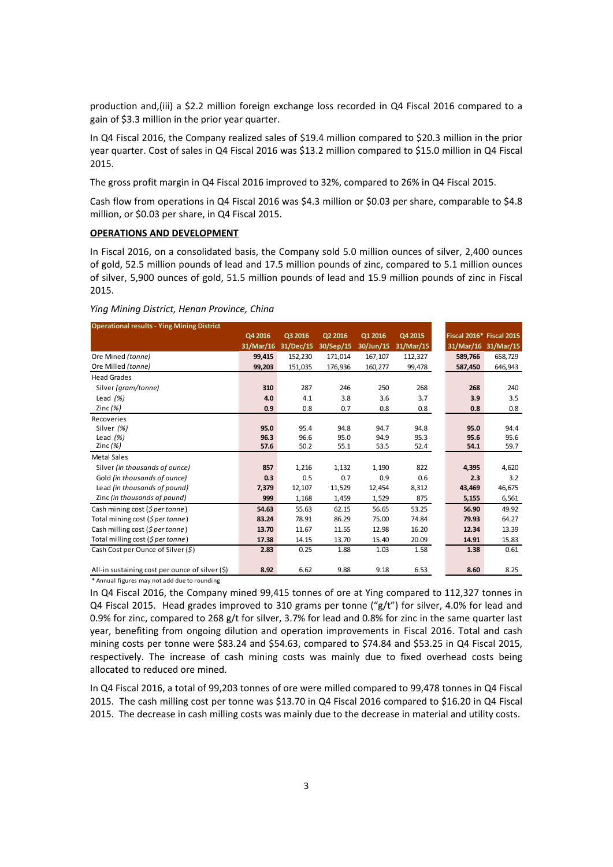production and,(iii) a \$2.2 million foreign exchange loss recorded in Q4 Fiscal 2016 compared to a gain of \$3.3 million in the prior year quarter.

In Q4 Fiscal 2016, the Company realized sales of \$19.4 million compared to \$20.3 million in the prior year quarter. Cost of sales in Q4 Fiscal 2016 was \$13.2 million compared to \$15.0 million in Q4 Fiscal 2015.

The gross profit margin in Q4 Fiscal 2016 improved to 32%, compared to 26% in Q4 Fiscal 2015.

Cash flow from operations in Q4 Fiscal 2016 was \$4.3 million or \$0.03 per share, comparable to \$4.8 million, or \$0.03 per share, in Q4 Fiscal 2015.

### **OPERATIONS AND DEVELOPMENT**

In Fiscal 2016, on a consolidated basis, the Company sold 5.0 million ounces of silver, 2,400 ounces of gold, 52.5 million pounds of lead and 17.5 million pounds of zinc, compared to 5.1 million ounces of silver, 5,900 ounces of gold, 51.5 million pounds of lead and 15.9 million pounds of zinc in Fiscal 2015.

### *Ying Mining District, Henan Province, China*

| <b>Operational results - Ying Mining District</b>  |           |           |           |              |           |           |                          |
|----------------------------------------------------|-----------|-----------|-----------|--------------|-----------|-----------|--------------------------|
|                                                    | Q4 2016   | Q3 2016   | Q2 2016   | Q1 2016      | Q4 2015   |           | Fiscal 2016* Fiscal 2015 |
|                                                    | 31/Mar/16 | 31/Dec/15 | 30/Sep/15 | $30/$ Jun/15 | 31/Mar/15 | 31/Mar/16 | 31/Mar/15                |
| Ore Mined (tonne)                                  | 99.415    | 152,230   | 171,014   | 167,107      | 112,327   | 589,766   | 658,729                  |
| Ore Milled (tonne)                                 | 99,203    | 151,035   | 176,936   | 160,277      | 99,478    | 587,450   | 646,943                  |
| <b>Head Grades</b>                                 |           |           |           |              |           |           |                          |
| Silver (gram/tonne)                                | 310       | 287       | 246       | 250          | 268       | 268       | 240                      |
| Lead $(%)$                                         | 4.0       | 4.1       | 3.8       | 3.6          | 3.7       | 3.9       | 3.5                      |
| Zinc $(\%)$                                        | 0.9       | 0.8       | 0.7       | 0.8          | 0.8       | 0.8       | 0.8                      |
| Recoveries                                         |           |           |           |              |           |           |                          |
| Silver (%)                                         | 95.0      | 95.4      | 94.8      | 94.7         | 94.8      | 95.0      | 94.4                     |
| Lead $(%)$                                         | 96.3      | 96.6      | 95.0      | 94.9         | 95.3      | 95.6      | 95.6                     |
| Zinc $(%)$                                         | 57.6      | 50.2      | 55.1      | 53.5         | 52.4      | 54.1      | 59.7                     |
| <b>Metal Sales</b>                                 |           |           |           |              |           |           |                          |
| Silver (in thousands of ounce)                     | 857       | 1,216     | 1,132     | 1,190        | 822       | 4,395     | 4,620                    |
| Gold (in thousands of ounce)                       | 0.3       | 0.5       | 0.7       | 0.9          | 0.6       | 2.3       | 3.2                      |
| Lead (in thousands of pound)                       | 7,379     | 12,107    | 11,529    | 12,454       | 8,312     | 43,469    | 46,675                   |
| Zinc (in thousands of pound)                       | 999       | 1,168     | 1,459     | 1,529        | 875       | 5,155     | 6,561                    |
| Cash mining cost (\$ per tonne)                    | 54.63     | 55.63     | 62.15     | 56.65        | 53.25     | 56.90     | 49.92                    |
| Total mining cost (\$ per tonne)                   | 83.24     | 78.91     | 86.29     | 75.00        | 74.84     | 79.93     | 64.27                    |
| Cash milling cost (\$ per tonne)                   | 13.70     | 11.67     | 11.55     | 12.98        | 16.20     | 12.34     | 13.39                    |
| Total milling cost (\$ per tonne)                  | 17.38     | 14.15     | 13.70     | 15.40        | 20.09     | 14.91     | 15.83                    |
| Cash Cost per Ounce of Silver (\$)                 | 2.83      | 0.25      | 1.88      | 1.03         | 1.58      | 1.38      | 0.61                     |
|                                                    |           |           |           |              |           |           |                          |
| All-in sustaining cost per ounce of silver $(\xi)$ | 8.92      | 6.62      | 9.88      | 9.18         | 6.53      | 8.60      | 8.25                     |
|                                                    |           |           |           |              |           |           |                          |

Annual figures may not add due to rounding

In Q4 Fiscal 2016, the Company mined 99,415 tonnes of ore at Ying compared to 112,327 tonnes in Q4 Fiscal 2015. Head grades improved to 310 grams per tonne (" $g/t$ ") for silver, 4.0% for lead and 0.9% for zinc, compared to 268 g/t for silver, 3.7% for lead and 0.8% for zinc in the same quarter last year, benefiting from ongoing dilution and operation improvements in Fiscal 2016. Total and cash mining costs per tonne were \$83.24 and \$54.63, compared to \$74.84 and \$53.25 in Q4 Fiscal 2015, respectively. The increase of cash mining costs was mainly due to fixed overhead costs being allocated to reduced ore mined.

In Q4 Fiscal 2016, a total of 99,203 tonnes of ore were milled compared to 99,478 tonnes in Q4 Fiscal 2015. The cash milling cost per tonne was \$13.70 in Q4 Fiscal 2016 compared to \$16.20 in Q4 Fiscal 2015. The decrease in cash milling costs was mainly due to the decrease in material and utility costs.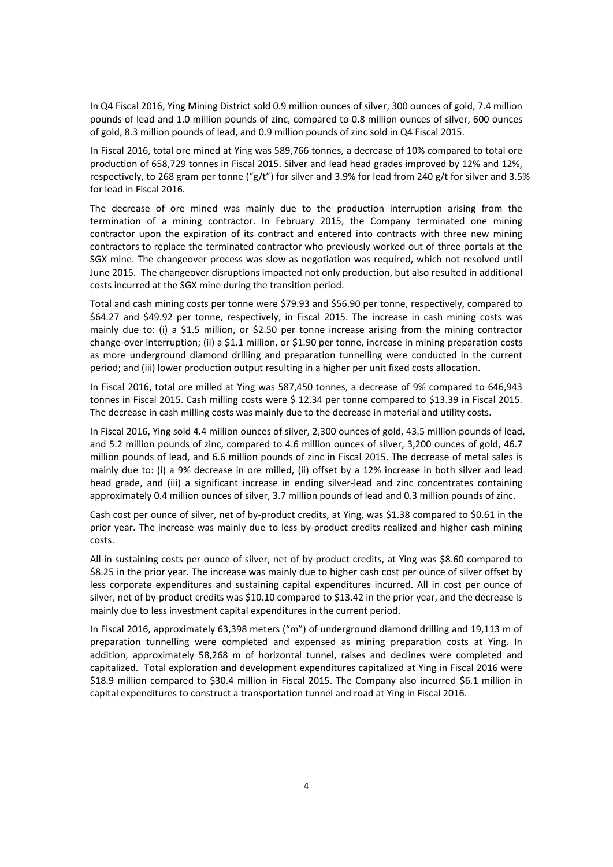In Q4 Fiscal 2016, Ying Mining District sold 0.9 million ounces of silver, 300 ounces of gold, 7.4 million pounds of lead and 1.0 million pounds of zinc, compared to 0.8 million ounces of silver, 600 ounces of gold, 8.3 million pounds of lead, and 0.9 million pounds of zinc sold in Q4 Fiscal 2015.

In Fiscal 2016, total ore mined at Ying was 589,766 tonnes, a decrease of 10% compared to total ore production of 658,729 tonnes in Fiscal 2015. Silver and lead head grades improved by 12% and 12%, respectively, to 268 gram per tonne ("g/t") for silver and 3.9% for lead from 240 g/t for silver and 3.5% for lead in Fiscal 2016.

The decrease of ore mined was mainly due to the production interruption arising from the termination of a mining contractor. In February 2015, the Company terminated one mining contractor upon the expiration of its contract and entered into contracts with three new mining contractors to replace the terminated contractor who previously worked out of three portals at the SGX mine. The changeover process was slow as negotiation was required, which not resolved until June 2015. The changeover disruptions impacted not only production, but also resulted in additional costs incurred at the SGX mine during the transition period.

Total and cash mining costs per tonne were \$79.93 and \$56.90 per tonne, respectively, compared to \$64.27 and \$49.92 per tonne, respectively, in Fiscal 2015. The increase in cash mining costs was mainly due to: (i) a \$1.5 million, or \$2.50 per tonne increase arising from the mining contractor change-over interruption; (ii) a \$1.1 million, or \$1.90 per tonne, increase in mining preparation costs as more underground diamond drilling and preparation tunnelling were conducted in the current period; and (iii) lower production output resulting in a higher per unit fixed costs allocation.

In Fiscal 2016, total ore milled at Ying was 587,450 tonnes, a decrease of 9% compared to 646,943 tonnes in Fiscal 2015. Cash milling costs were \$ 12.34 per tonne compared to \$13.39 in Fiscal 2015. The decrease in cash milling costs was mainly due to the decrease in material and utility costs.

In Fiscal 2016, Ying sold 4.4 million ounces of silver, 2,300 ounces of gold, 43.5 million pounds of lead, and 5.2 million pounds of zinc, compared to 4.6 million ounces of silver, 3,200 ounces of gold, 46.7 million pounds of lead, and 6.6 million pounds of zinc in Fiscal 2015. The decrease of metal sales is mainly due to: (i) a 9% decrease in ore milled, (ii) offset by a 12% increase in both silver and lead head grade, and (iii) a significant increase in ending silver-lead and zinc concentrates containing approximately 0.4 million ounces of silver, 3.7 million pounds of lead and 0.3 million pounds of zinc.

Cash cost per ounce of silver, net of by-product credits, at Ying, was \$1.38 compared to \$0.61 in the prior year. The increase was mainly due to less by-product credits realized and higher cash mining costs.

All-in sustaining costs per ounce of silver, net of by-product credits, at Ying was \$8.60 compared to \$8.25 in the prior year. The increase was mainly due to higher cash cost per ounce of silver offset by less corporate expenditures and sustaining capital expenditures incurred. All in cost per ounce of silver, net of by-product credits was \$10.10 compared to \$13.42 in the prior year, and the decrease is mainly due to less investment capital expenditures in the current period.

In Fiscal 2016, approximately 63,398 meters ("m") of underground diamond drilling and 19,113 m of preparation tunnelling were completed and expensed as mining preparation costs at Ying. In addition, approximately 58,268 m of horizontal tunnel, raises and declines were completed and capitalized. Total exploration and development expenditures capitalized at Ying in Fiscal 2016 were \$18.9 million compared to \$30.4 million in Fiscal 2015. The Company also incurred \$6.1 million in capital expenditures to construct a transportation tunnel and road at Ying in Fiscal 2016.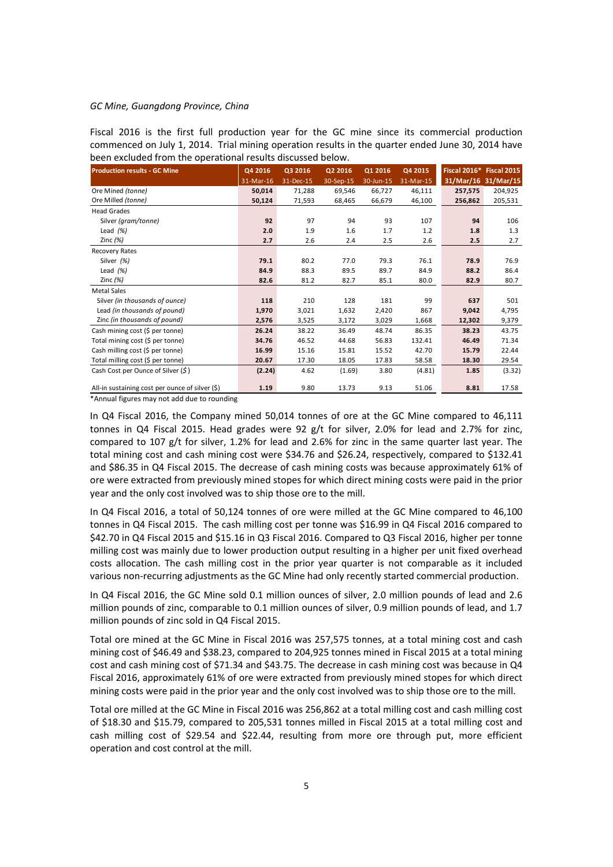#### *GC Mine, Guangdong Province, China*

Fiscal 2016 is the first full production year for the GC mine since its commercial production commenced on July 1, 2014. Trial mining operation results in the quarter ended June 30, 2014 have been excluded from the operational results discussed below.

| <b>Production results - GC Mine</b>                | Q4 2016   | Q3 2016   | Q2 2016   | Q1 2016   | Q4 2015   | <b>Fiscal 2016*</b> | <b>Fiscal 2015</b> |
|----------------------------------------------------|-----------|-----------|-----------|-----------|-----------|---------------------|--------------------|
|                                                    | 31-Mar-16 | 31-Dec-15 | 30-Sep-15 | 30-Jun-15 | 31-Mar-15 | 31/Mar/16           | 31/Mar/15          |
| Ore Mined (tonne)                                  | 50,014    | 71,288    | 69,546    | 66,727    | 46,111    | 257.575             | 204,925            |
| Ore Milled (tonne)                                 | 50,124    | 71,593    | 68,465    | 66,679    | 46,100    | 256,862             | 205,531            |
| <b>Head Grades</b>                                 |           |           |           |           |           |                     |                    |
| Silver (gram/tonne)                                | 92        | 97        | 94        | 93        | 107       | 94                  | 106                |
| Lead $(%)$                                         | 2.0       | 1.9       | 1.6       | 1.7       | 1.2       | 1.8                 | 1.3                |
| Zinc $(%)$                                         | 2.7       | 2.6       | 2.4       | 2.5       | 2.6       | 2.5                 | 2.7                |
| Recovery Rates                                     |           |           |           |           |           |                     |                    |
| Silver (%)                                         | 79.1      | 80.2      | 77.0      | 79.3      | 76.1      | 78.9                | 76.9               |
| Lead $(%)$                                         | 84.9      | 88.3      | 89.5      | 89.7      | 84.9      | 88.2                | 86.4               |
| Zinc $(%)$                                         | 82.6      | 81.2      | 82.7      | 85.1      | 80.0      | 82.9                | 80.7               |
| <b>Metal Sales</b>                                 |           |           |           |           |           |                     |                    |
| Silver (in thousands of ounce)                     | 118       | 210       | 128       | 181       | 99        | 637                 | 501                |
| Lead (in thousands of pound)                       | 1,970     | 3,021     | 1,632     | 2,420     | 867       | 9,042               | 4,795              |
| Zinc (in thousands of pound)                       | 2,576     | 3,525     | 3,172     | 3,029     | 1,668     | 12,302              | 9,379              |
| Cash mining cost (\$ per tonne)                    | 26.24     | 38.22     | 36.49     | 48.74     | 86.35     | 38.23               | 43.75              |
| Total mining cost (\$ per tonne)                   | 34.76     | 46.52     | 44.68     | 56.83     | 132.41    | 46.49               | 71.34              |
| Cash milling cost (\$ per tonne)                   | 16.99     | 15.16     | 15.81     | 15.52     | 42.70     | 15.79               | 22.44              |
| Total milling cost (\$ per tonne)                  | 20.67     | 17.30     | 18.05     | 17.83     | 58.58     | 18.30               | 29.54              |
| Cash Cost per Ounce of Silver $(\xi)$              | (2.24)    | 4.62      | (1.69)    | 3.80      | (4.81)    | 1.85                | (3.32)             |
| All-in sustaining cost per ounce of silver $(\xi)$ | 1.19      | 9.80      | 13.73     | 9.13      | 51.06     | 8.81                | 17.58              |

\*Annual figures may not add due to rounding

In Q4 Fiscal 2016, the Company mined 50,014 tonnes of ore at the GC Mine compared to 46,111 tonnes in Q4 Fiscal 2015. Head grades were 92 g/t for silver, 2.0% for lead and 2.7% for zinc, compared to 107 g/t for silver, 1.2% for lead and 2.6% for zinc in the same quarter last year. The total mining cost and cash mining cost were \$34.76 and \$26.24, respectively, compared to \$132.41 and \$86.35 in Q4 Fiscal 2015. The decrease of cash mining costs was because approximately 61% of ore were extracted from previously mined stopes for which direct mining costs were paid in the prior year and the only cost involved was to ship those ore to the mill.

In Q4 Fiscal 2016, a total of 50,124 tonnes of ore were milled at the GC Mine compared to 46,100 tonnes in Q4 Fiscal 2015. The cash milling cost per tonne was \$16.99 in Q4 Fiscal 2016 compared to \$42.70 in Q4 Fiscal 2015 and \$15.16 in Q3 Fiscal 2016. Compared to Q3 Fiscal 2016, higher per tonne milling cost was mainly due to lower production output resulting in a higher per unit fixed overhead costs allocation. The cash milling cost in the prior year quarter is not comparable as it included various non‐recurring adjustments as the GC Mine had only recently started commercial production.

In Q4 Fiscal 2016, the GC Mine sold 0.1 million ounces of silver, 2.0 million pounds of lead and 2.6 million pounds of zinc, comparable to 0.1 million ounces of silver, 0.9 million pounds of lead, and 1.7 million pounds of zinc sold in Q4 Fiscal 2015.

Total ore mined at the GC Mine in Fiscal 2016 was 257,575 tonnes, at a total mining cost and cash mining cost of \$46.49 and \$38.23, compared to 204,925 tonnes mined in Fiscal 2015 at a total mining cost and cash mining cost of \$71.34 and \$43.75. The decrease in cash mining cost was because in Q4 Fiscal 2016, approximately 61% of ore were extracted from previously mined stopes for which direct mining costs were paid in the prior year and the only cost involved was to ship those ore to the mill.

Total ore milled at the GC Mine in Fiscal 2016 was 256,862 at a total milling cost and cash milling cost of \$18.30 and \$15.79, compared to 205,531 tonnes milled in Fiscal 2015 at a total milling cost and cash milling cost of \$29.54 and \$22.44, resulting from more ore through put, more efficient operation and cost control at the mill.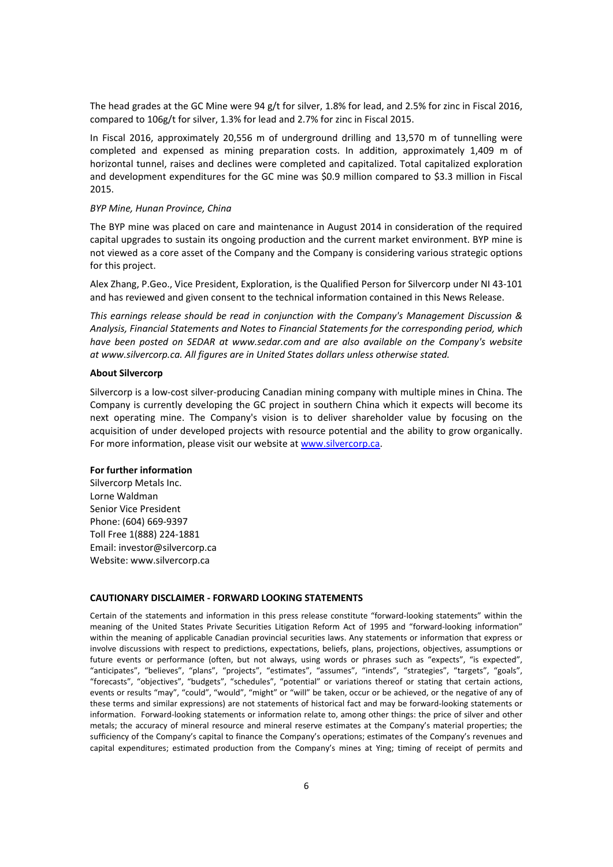The head grades at the GC Mine were 94 g/t for silver, 1.8% for lead, and 2.5% for zinc in Fiscal 2016, compared to 106g/t for silver, 1.3% for lead and 2.7% for zinc in Fiscal 2015.

In Fiscal 2016, approximately 20,556 m of underground drilling and 13,570 m of tunnelling were completed and expensed as mining preparation costs. In addition, approximately 1,409 m of horizontal tunnel, raises and declines were completed and capitalized. Total capitalized exploration and development expenditures for the GC mine was \$0.9 million compared to \$3.3 million in Fiscal 2015.

#### *BYP Mine, Hunan Province, China*

The BYP mine was placed on care and maintenance in August 2014 in consideration of the required capital upgrades to sustain its ongoing production and the current market environment. BYP mine is not viewed as a core asset of the Company and the Company is considering various strategic options for this project.

Alex Zhang, P.Geo., Vice President, Exploration, is the Qualified Person for Silvercorp under NI 43‐101 and has reviewed and given consent to the technical information contained in this News Release.

*This earnings release should be read in conjunction with the Company's Management Discussion & Analysis, Financial Statements and Notes to Financial Statements for the corresponding period, which have been posted on SEDAR at www.sedar.com and are also available on the Company's website at www.silvercorp.ca. All figures are in United States dollars unless otherwise stated.*

#### **About Silvercorp**

Silvercorp is a low‐cost silver‐producing Canadian mining company with multiple mines in China. The Company is currently developing the GC project in southern China which it expects will become its next operating mine. The Company's vision is to deliver shareholder value by focusing on the acquisition of under developed projects with resource potential and the ability to grow organically. For more information, please visit our website at www.silvercorp.ca.

#### **For further information**

Silvercorp Metals Inc. Lorne Waldman Senior Vice President Phone: (604) 669‐9397 Toll Free 1(888) 224‐1881 Email: investor@silvercorp.ca Website: www.silvercorp.ca

#### **CAUTIONARY DISCLAIMER ‐ FORWARD LOOKING STATEMENTS**

Certain of the statements and information in this press release constitute "forward‐looking statements" within the meaning of the United States Private Securities Litigation Reform Act of 1995 and "forward-looking information" within the meaning of applicable Canadian provincial securities laws. Any statements or information that express or involve discussions with respect to predictions, expectations, beliefs, plans, projections, objectives, assumptions or future events or performance (often, but not always, using words or phrases such as "expects", "is expected", "anticipates", "believes", "plans", "projects", "estimates", "assumes", "intends", "strategies", "targets", "goals", "forecasts", "objectives", "budgets", "schedules", "potential" or variations thereof or stating that certain actions, events or results "may", "could", "would", "might" or "will" be taken, occur or be achieved, or the negative of any of these terms and similar expressions) are not statements of historical fact and may be forward‐looking statements or information. Forward-looking statements or information relate to, among other things: the price of silver and other metals; the accuracy of mineral resource and mineral reserve estimates at the Company's material properties; the sufficiency of the Company's capital to finance the Company's operations; estimates of the Company's revenues and capital expenditures; estimated production from the Company's mines at Ying; timing of receipt of permits and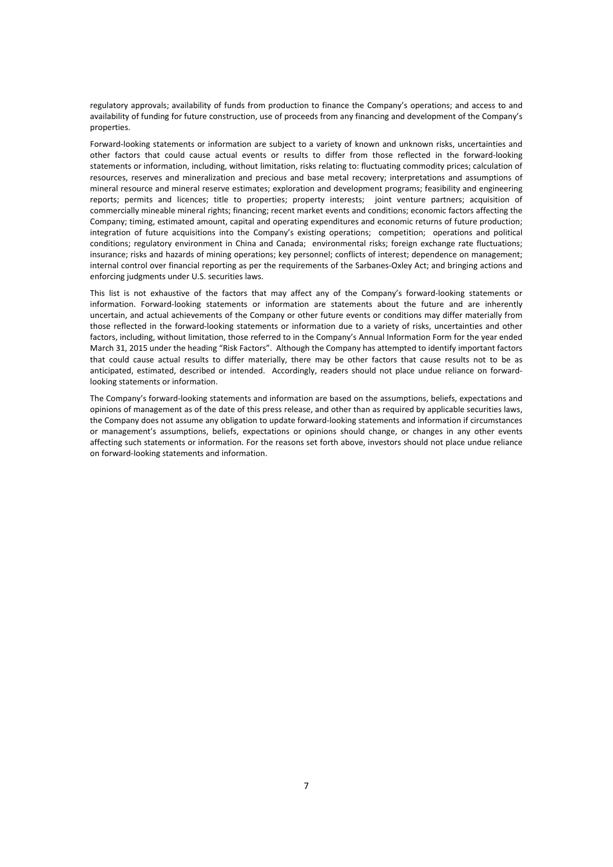regulatory approvals; availability of funds from production to finance the Company's operations; and access to and availability of funding for future construction, use of proceeds from any financing and development of the Company's properties.

Forward‐looking statements or information are subject to a variety of known and unknown risks, uncertainties and other factors that could cause actual events or results to differ from those reflected in the forward‐looking statements or information, including, without limitation, risks relating to: fluctuating commodity prices; calculation of resources, reserves and mineralization and precious and base metal recovery; interpretations and assumptions of mineral resource and mineral reserve estimates; exploration and development programs; feasibility and engineering reports; permits and licences; title to properties; property interests; joint venture partners; acquisition of commercially mineable mineral rights; financing; recent market events and conditions; economic factors affecting the Company; timing, estimated amount, capital and operating expenditures and economic returns of future production; integration of future acquisitions into the Company's existing operations; competition; operations and political conditions; regulatory environment in China and Canada; environmental risks; foreign exchange rate fluctuations; insurance; risks and hazards of mining operations; key personnel; conflicts of interest; dependence on management; internal control over financial reporting as per the requirements of the Sarbanes‐Oxley Act; and bringing actions and enforcing judgments under U.S. securities laws.

This list is not exhaustive of the factors that may affect any of the Company's forward‐looking statements or information. Forward‐looking statements or information are statements about the future and are inherently uncertain, and actual achievements of the Company or other future events or conditions may differ materially from those reflected in the forward‐looking statements or information due to a variety of risks, uncertainties and other factors, including, without limitation, those referred to in the Company's Annual Information Form for the year ended March 31, 2015 under the heading "Risk Factors". Although the Company has attempted to identify important factors that could cause actual results to differ materially, there may be other factors that cause results not to be as anticipated, estimated, described or intended. Accordingly, readers should not place undue reliance on forwardlooking statements or information.

The Company's forward-looking statements and information are based on the assumptions, beliefs, expectations and opinions of management as of the date of this press release, and other than as required by applicable securities laws, the Company does not assume any obligation to update forward‐looking statements and information if circumstances or management's assumptions, beliefs, expectations or opinions should change, or changes in any other events affecting such statements or information. For the reasons set forth above, investors should not place undue reliance on forward‐looking statements and information.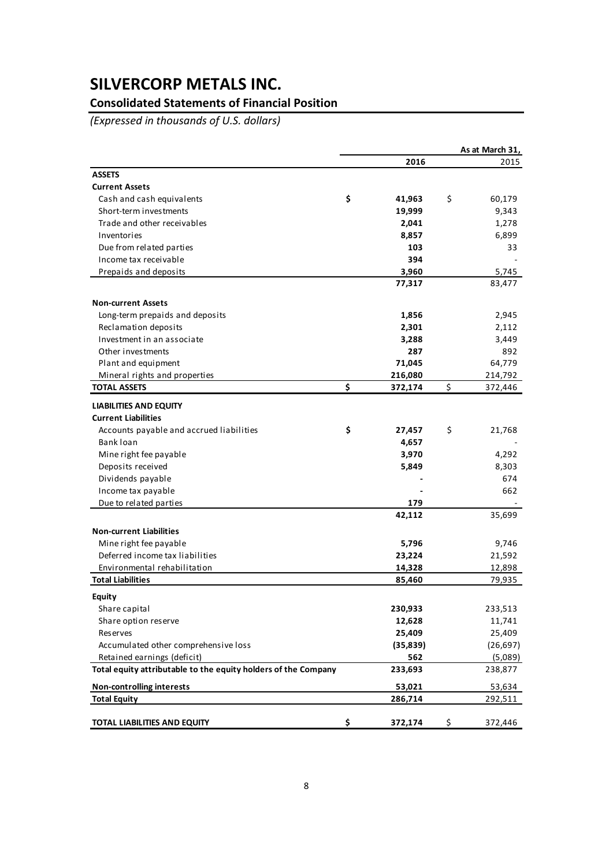## **Consolidated Statements of Financial Position**

*(Expressed in thousands of U.S. dollars)*

|                                                                |               | As at March 31, |
|----------------------------------------------------------------|---------------|-----------------|
|                                                                | 2016          | 2015            |
| <b>ASSETS</b>                                                  |               |                 |
| <b>Current Assets</b>                                          |               |                 |
| Cash and cash equivalents                                      | \$<br>41,963  | \$<br>60,179    |
| Short-term investments                                         | 19,999        | 9,343           |
| Trade and other receivables                                    | 2,041         | 1,278           |
| Inventories                                                    | 8,857         | 6,899           |
| Due from related parties                                       | 103           | 33              |
| Income tax receivable                                          | 394           |                 |
| Prepaids and deposits                                          | 3,960         | 5,745           |
|                                                                | 77,317        | 83,477          |
| <b>Non-current Assets</b>                                      |               |                 |
| Long-term prepaids and deposits                                | 1,856         | 2,945           |
| Reclamation deposits                                           | 2,301         | 2,112           |
| Investment in an associate                                     | 3,288         | 3,449           |
| Other investments                                              | 287           | 892             |
| Plant and equipment                                            | 71,045        | 64,779          |
| Mineral rights and properties                                  | 216,080       | 214,792         |
| <b>TOTAL ASSETS</b>                                            | \$<br>372,174 | \$<br>372,446   |
|                                                                |               |                 |
| <b>LIABILITIES AND EQUITY</b>                                  |               |                 |
| <b>Current Liabilities</b>                                     |               |                 |
| Accounts payable and accrued liabilities                       | \$<br>27,457  | \$<br>21,768    |
| Bank loan                                                      | 4,657         |                 |
| Mine right fee payable                                         | 3,970         | 4,292           |
| Deposits received                                              | 5,849         | 8,303           |
| Dividends payable                                              |               | 674             |
| Income tax payable                                             |               | 662             |
| Due to related parties                                         | 179           |                 |
|                                                                | 42,112        | 35,699          |
| <b>Non-current Liabilities</b>                                 |               |                 |
| Mine right fee payable                                         | 5,796         | 9,746           |
| Deferred income tax liabilities                                | 23,224        | 21,592          |
| Environmental rehabilitation                                   | 14,328        | 12,898          |
| <b>Total Liabilities</b>                                       | 85,460        | 79,935          |
| <b>Equity</b>                                                  |               |                 |
| Share capital                                                  | 230,933       | 233,513         |
| Share option reserve                                           | 12,628        | 11,741          |
| <b>Reserves</b>                                                | 25,409        | 25,409          |
| Accumulated other comprehensive loss                           | (35, 839)     | (26, 697)       |
| Retained earnings (deficit)                                    | 562           | (5,089)         |
| Total equity attributable to the equity holders of the Company | 233,693       | 238,877         |
| <b>Non-controlling interests</b>                               | 53,021        | 53,634          |
| <b>Total Equity</b>                                            | 286,714       | 292,511         |
|                                                                |               |                 |
| TOTAL LIABILITIES AND EQUITY                                   | \$<br>372,174 | \$<br>372,446   |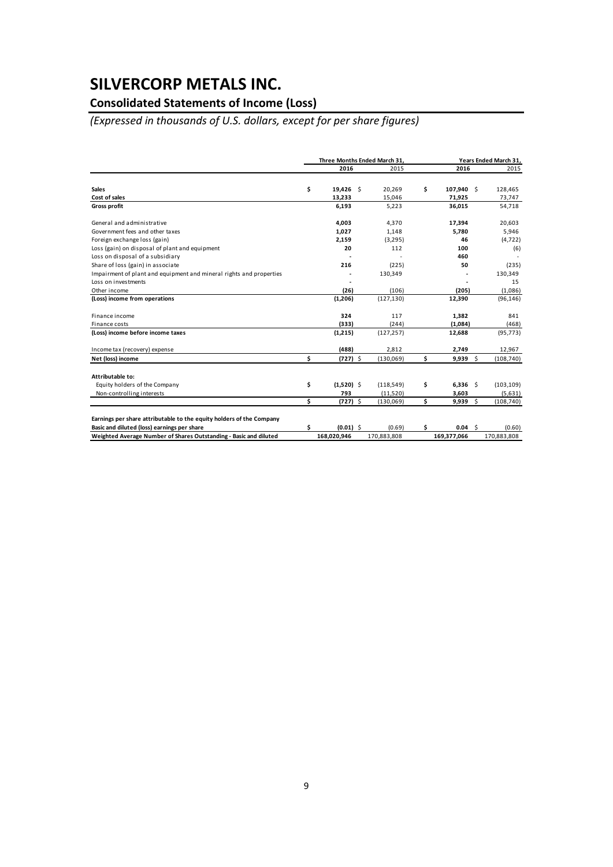## **Consolidated Statements of Income (Loss)**

*(Expressed in thousands of U.S. dollars, except for per share figures)*

|                                                                      | Three Months Ended March 31, |  |             | Years Ended March 31, |              |  |             |
|----------------------------------------------------------------------|------------------------------|--|-------------|-----------------------|--------------|--|-------------|
|                                                                      | 2016                         |  | 2015        |                       | 2016         |  | 2015        |
|                                                                      |                              |  |             |                       |              |  |             |
| <b>Sales</b>                                                         | \$<br>$19,426$ \$            |  | 20,269      | \$                    | 107,940 \$   |  | 128,465     |
| Cost of sales                                                        | 13,233                       |  | 15,046      |                       | 71,925       |  | 73,747      |
| <b>Gross profit</b>                                                  | 6,193                        |  | 5,223       |                       | 36,015       |  | 54,718      |
| General and administrative                                           | 4,003                        |  | 4,370       |                       | 17,394       |  | 20,603      |
| Government fees and other taxes                                      | 1,027                        |  | 1,148       |                       | 5,780        |  | 5,946       |
| Foreign exchange loss (gain)                                         | 2,159                        |  | (3, 295)    |                       | 46           |  | (4, 722)    |
| Loss (gain) on disposal of plant and equipment                       | 20                           |  | 112         |                       | 100          |  | (6)         |
| Loss on disposal of a subsidiary                                     |                              |  |             |                       | 460          |  |             |
| Share of loss (gain) in associate                                    | 216                          |  | (225)       |                       | 50           |  | (235)       |
| Impairment of plant and equipment and mineral rights and properties  |                              |  | 130,349     |                       |              |  | 130,349     |
| Loss on investments                                                  |                              |  |             |                       |              |  | 15          |
| Other income                                                         | (26)                         |  | (106)       |                       | (205)        |  | (1,086)     |
| (Loss) income from operations                                        | (1,206)                      |  | (127, 130)  |                       | 12,390       |  | (96, 146)   |
| Finance income                                                       | 324                          |  | 117         |                       | 1,382        |  | 841         |
| Finance costs                                                        | (333)                        |  | (244)       |                       | (1,084)      |  | (468)       |
| (Loss) income before income taxes                                    | (1,215)                      |  | (127, 257)  |                       | 12,688       |  | (95, 773)   |
| Income tax (recovery) expense                                        | (488)                        |  | 2,812       |                       | 2,749        |  | 12,967      |
| Net (loss) income                                                    | \$<br>$(727)$ \$             |  | (130,069)   | \$                    | $9,939$ \$   |  | (108, 740)  |
| Attributable to:                                                     |                              |  |             |                       |              |  |             |
| Equity holders of the Company                                        | \$<br>$(1,520)$ \$           |  | (118, 549)  | \$                    | $6,336$ \$   |  | (103, 109)  |
| Non-controlling interests                                            | 793                          |  | (11,520)    |                       | 3,603        |  | (5,631)     |
|                                                                      | \$<br>$(727)$ \$             |  | (130,069)   | \$                    | $9,939$ \$   |  | (108, 740)  |
| Earnings per share attributable to the equity holders of the Company |                              |  |             |                       |              |  |             |
| Basic and diluted (loss) earnings per share                          | \$<br>$(0.01)$ \$            |  | (0.69)      | Ś                     | $0.04 \quad$ |  | (0.60)      |
| Weighted Average Number of Shares Outstanding - Basic and diluted    | 168,020,946                  |  | 170,883,808 |                       | 169,377,066  |  | 170,883,808 |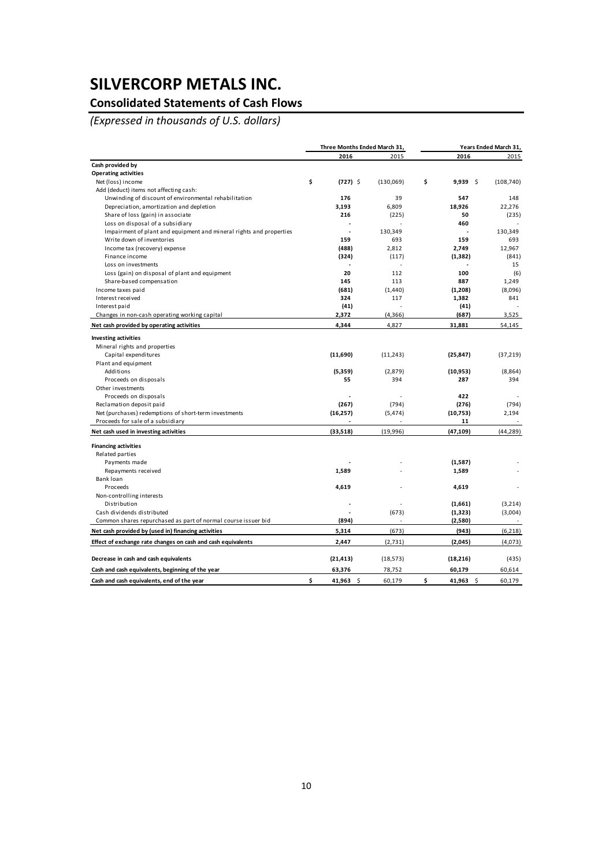## **Consolidated Statements of Cash Flows**

*(Expressed in thousands of U.S. dollars)*

|                                                                                                                      |                  | Three Months Ended March 31, |                                    | Years Ended March 31, |  |
|----------------------------------------------------------------------------------------------------------------------|------------------|------------------------------|------------------------------------|-----------------------|--|
|                                                                                                                      | 2016             | 2015                         | 2016                               | 2015                  |  |
| Cash provided by                                                                                                     |                  |                              |                                    |                       |  |
| <b>Operating activities</b>                                                                                          |                  |                              |                                    |                       |  |
| Net (loss) income                                                                                                    | \$<br>$(727)$ \$ | (130,069)                    | \$<br>$\ddot{\mathsf{S}}$<br>9,939 | (108, 740)            |  |
| Add (deduct) items not affecting cash:                                                                               |                  |                              |                                    |                       |  |
| Unwinding of discount of environmental rehabilitation                                                                | 176              | 39                           | 547                                | 148                   |  |
| Depreciation, amortization and depletion                                                                             | 3,193            | 6,809                        | 18,926                             | 22,276                |  |
| Share of loss (gain) in associate                                                                                    | 216              | (225)                        | 50                                 | (235)                 |  |
| Loss on disposal of a subsidiary                                                                                     |                  |                              | 460                                |                       |  |
| Impairment of plant and equipment and mineral rights and properties                                                  | ÷                | 130,349                      |                                    | 130,349               |  |
| Write down of inventories                                                                                            | 159              | 693                          | 159                                | 693                   |  |
| Income tax (recovery) expense                                                                                        | (488)            | 2,812                        | 2,749                              | 12,967                |  |
| Finance income                                                                                                       | (324)            | (117)                        | (1, 382)                           | (841)                 |  |
| Loss on investments                                                                                                  | ٠                |                              |                                    | 15                    |  |
| Loss (gain) on disposal of plant and equipment                                                                       | 20               | 112                          | 100                                | (6)                   |  |
| Share-based compensation                                                                                             | 145              | 113                          | 887                                | 1,249                 |  |
| Income taxes paid                                                                                                    | (681)            | (1,440)                      | (1,208)                            | (8,096)               |  |
| Interest received                                                                                                    | 324              | 117                          | 1,382                              | 841                   |  |
| Interest paid                                                                                                        | (41)             |                              | (41)                               |                       |  |
| Changes in non-cash operating working capital                                                                        | 2,372            | (4, 366)                     | (687)                              | 3,525                 |  |
| Net cash provided by operating activities                                                                            | 4,344            | 4,827                        | 31,881                             | 54,145                |  |
| <b>Investing activities</b>                                                                                          |                  |                              |                                    |                       |  |
| Mineral rights and properties                                                                                        |                  |                              |                                    |                       |  |
| Capital expenditures                                                                                                 | (11,690)         | (11, 243)                    | (25, 847)                          | (37, 219)             |  |
| Plant and equipment                                                                                                  |                  |                              |                                    |                       |  |
| Additions                                                                                                            | (5,359)          | (2,879)                      | (10, 953)                          | (8,864)               |  |
| Proceeds on disposals                                                                                                | 55               | 394                          | 287                                | 394                   |  |
| Other investments                                                                                                    |                  |                              |                                    |                       |  |
| Proceeds on disposals                                                                                                |                  |                              | 422                                |                       |  |
| Reclamation deposit paid                                                                                             | (267)            | (794)                        | (276)                              | (794)                 |  |
| Net (purchases) redemptions of short-term investments                                                                | (16, 257)        | (5, 474)                     | (10,753)                           | 2,194                 |  |
| Proceeds for sale of a subsidiary                                                                                    |                  |                              | 11                                 |                       |  |
| Net cash used in investing activities                                                                                | (33,518)         | (19,996)                     | (47, 109)                          | (44, 289)             |  |
|                                                                                                                      |                  |                              |                                    |                       |  |
| <b>Financing activities</b>                                                                                          |                  |                              |                                    |                       |  |
| Related parties                                                                                                      |                  |                              |                                    |                       |  |
| Payments made                                                                                                        |                  |                              | (1,587)                            |                       |  |
| Repayments received                                                                                                  | 1,589            |                              | 1,589                              |                       |  |
| Bank loan                                                                                                            |                  |                              |                                    |                       |  |
| Proceeds                                                                                                             | 4,619            |                              | 4,619                              |                       |  |
| Non-controlling interests<br>Distribution                                                                            |                  |                              | (1,661)                            | (3, 214)              |  |
|                                                                                                                      |                  |                              |                                    |                       |  |
| Cash dividends distributed                                                                                           | (894)            | (673)                        | (1,323)                            | (3,004)               |  |
| Common shares repurchased as part of normal course issuer bid<br>Net cash provided by (used in) financing activities | 5,314            | (673)                        | (2,580)<br>(943)                   | (6, 218)              |  |
|                                                                                                                      |                  |                              |                                    |                       |  |
| Effect of exchange rate changes on cash and cash equivalents                                                         | 2,447            | (2,731)                      | (2,045)                            | (4,073)               |  |
| Decrease in cash and cash equivalents                                                                                | (21, 413)        | (18, 573)                    | (18, 216)                          | (435)                 |  |
| Cash and cash equivalents, beginning of the year                                                                     | 63,376           | 78,752                       | 60,179                             | 60,614                |  |
| Cash and cash equivalents, end of the year                                                                           | \$<br>41,963 \$  | 60,179                       | \$<br>41,963 \$                    | 60,179                |  |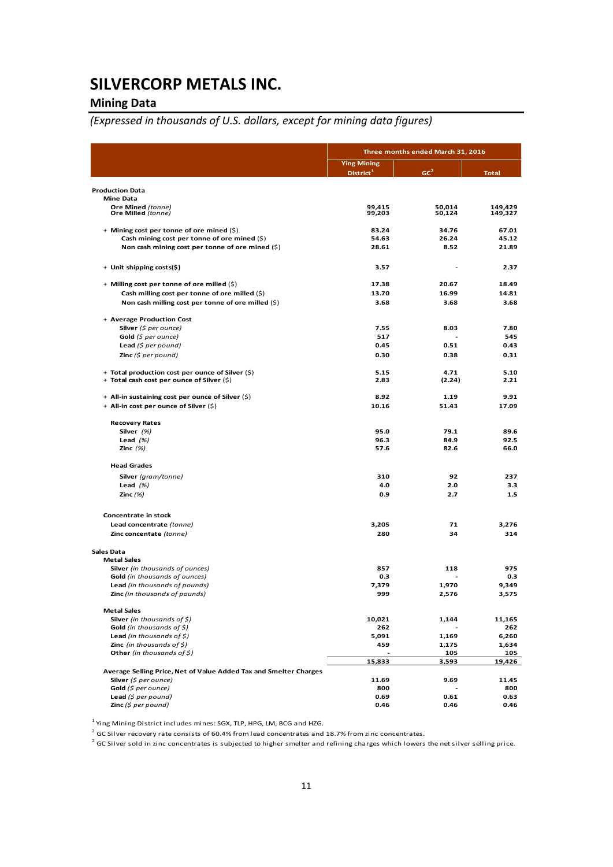## **Mining Data**

## *(Expressed in thousands of U.S. dollars, except for mining data figures)*

|                                                                   | Three months ended March 31, 2016           |                  |                    |  |  |
|-------------------------------------------------------------------|---------------------------------------------|------------------|--------------------|--|--|
|                                                                   | <b>Ying Mining</b><br>District <sup>1</sup> | $\mathsf{c}^2$   | <b>Total</b>       |  |  |
|                                                                   |                                             |                  |                    |  |  |
| <b>Production Data</b>                                            |                                             |                  |                    |  |  |
| <b>Mine Data</b>                                                  |                                             |                  |                    |  |  |
| Ore Mined (tonne)<br>Ore Milled (tonne)                           | 99,415<br>99,203                            | 50.014<br>50,124 | 149,429<br>149,327 |  |  |
| + Mining cost per tonne of ore mined (\$)                         | 83.24                                       | 34.76            | 67.01              |  |  |
| Cash mining cost per tonne of ore mined $(\xi)$                   | 54.63                                       | 26.24            | 45.12              |  |  |
| Non cash mining cost per tonne of ore mined $(\xi)$               | 28.61                                       | 8.52             | 21.89              |  |  |
| + Unit shipping costs(\$)                                         | 3.57                                        |                  | 2.37               |  |  |
| + Milling cost per tonne of ore milled (\$)                       | 17.38                                       | 20.67            | 18.49              |  |  |
| Cash milling cost per tonne of ore milled $(\xi)$                 | 13.70                                       | 16.99            | 14.81              |  |  |
| Non cash milling cost per tonne of ore milled $(\xi)$             | 3.68                                        | 3.68             | 3.68               |  |  |
| + Average Production Cost                                         |                                             |                  |                    |  |  |
| Silver $(5$ per ounce)                                            | 7.55                                        | 8.03             | 7.80               |  |  |
| Gold $(5$ per ounce)                                              | 517                                         |                  | 545                |  |  |
| Lead $(5$ per pound)                                              | 0.45                                        | 0.51             | 0.43               |  |  |
| <b>Zinc</b> (\$ per pound)                                        | 0.30                                        | 0.38             | 0.31               |  |  |
| + Total production cost per ounce of Silver (\$)                  | 5.15                                        | 4.71             | 5.10               |  |  |
| + Total cash cost per ounce of Silver (\$)                        | 2.83                                        | (2.24)           | 2.21               |  |  |
| + All-in sustaining cost per ounce of Silver (\$)                 | 8.92                                        | 1.19             | 9.91               |  |  |
| + All-in cost per ounce of Silver (\$)                            | 10.16                                       | 51.43            | 17.09              |  |  |
| <b>Recovery Rates</b>                                             |                                             |                  |                    |  |  |
| Silver $(%)$                                                      | 95.0                                        | 79.1             | 89.6               |  |  |
| Lead $(%)$                                                        | 96.3                                        | 84.9             | 92.5               |  |  |
| Zinc $(%)$                                                        | 57.6                                        | 82.6             | 66.0               |  |  |
| <b>Head Grades</b>                                                |                                             |                  |                    |  |  |
| Silver (gram/tonne)                                               | 310                                         | 92               | 237                |  |  |
| Lead $(%)$<br>Zinc $(%)$                                          | 4.0<br>0.9                                  | 2.0<br>2.7       | 3.3<br>1.5         |  |  |
| Concentrate in stock                                              |                                             |                  |                    |  |  |
|                                                                   |                                             | 71               |                    |  |  |
| Lead concentrate (tonne)<br>Zinc concentate (tonne)               | 3,205<br>280                                | 34               | 3,276<br>314       |  |  |
|                                                                   |                                             |                  |                    |  |  |
| Sales Data<br><b>Metal Sales</b>                                  |                                             |                  |                    |  |  |
| Silver (in thousands of ounces)                                   | 857                                         | 118              | 975                |  |  |
| Gold (in thousands of ounces)                                     | 0.3                                         |                  | 0.3                |  |  |
| Lead (in thousands of pounds)                                     | 7,379                                       | 1,970            | 9,349              |  |  |
| Zinc (in thousands of pounds)                                     | 999                                         | 2,576            | 3,575              |  |  |
| <b>Metal Sales</b>                                                |                                             |                  |                    |  |  |
| <b>Silver</b> (in thousands of $\zeta$ )                          | 10,021                                      | 1,144            | 11,165             |  |  |
| Gold (in thousands of $\zeta$ )                                   | 262                                         |                  | 262                |  |  |
| <b>Lead</b> (in thousands of $\zeta$ )                            | 5,091                                       | 1,169            | 6,260              |  |  |
| <b>Zinc</b> (in thousands of $\zeta$ )                            | 459                                         | 1,175            | 1,634              |  |  |
| Other (in thousands of $\zeta$ )                                  | 15,833                                      | 105<br>3,593     | 105<br>19,426      |  |  |
| Average Selling Price, Net of Value Added Tax and Smelter Charges |                                             |                  |                    |  |  |
| Silver (\$ per ounce)                                             | 11.69                                       | 9.69             | 11.45              |  |  |
| Gold (\$ per ounce)                                               | 800                                         |                  | 800                |  |  |
| Lead $(5$ per pound)                                              | 0.69                                        | 0.61             | 0.63               |  |  |
| <b>Zinc</b> (\$ per pound)                                        | 0.46                                        | 0.46             | 0.46               |  |  |

 $1$  Ying Mining District includes mines: SGX, TLP, HPG, LM, BCG and HZG.

<sup>2</sup> GC Silver recovery rate consists of 60.4% from lead concentrates and 18.7% from zinc concentrates.

 $2$  GC Silver sold in zinc concentrates is subjected to higher smelter and refining charges which lowers the net silver selling price.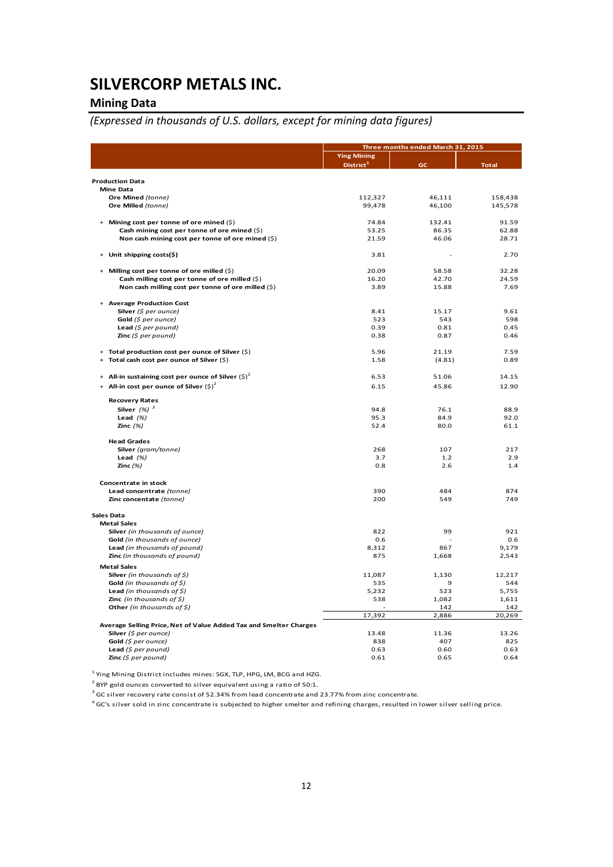## **Mining Data**

## *(Expressed in thousands of U.S. dollars, except for mining data figures)*

|                                                                   | Three months ended March 31, 2015           |              |              |  |
|-------------------------------------------------------------------|---------------------------------------------|--------------|--------------|--|
|                                                                   | <b>Ying Mining</b><br>District <sup>1</sup> | GC           | <b>Total</b> |  |
|                                                                   |                                             |              |              |  |
| <b>Production Data</b><br><b>Mine Data</b>                        |                                             |              |              |  |
| Ore Mined (tonne)                                                 | 112,327                                     | 46,111       | 158,438      |  |
| Ore Milled (tonne)                                                | 99,478                                      | 46,100       | 145,578      |  |
|                                                                   |                                             |              |              |  |
| + Mining cost per tonne of ore mined (\$)                         | 74.84                                       | 132.41       | 91.59        |  |
| Cash mining cost per tonne of ore mined (\$)                      | 53.25                                       | 86.35        | 62.88        |  |
| Non cash mining cost per tonne of ore mined (\$)                  | 21.59                                       | 46.06        | 28.71        |  |
| Unit shipping costs(\$)                                           | 3.81                                        |              | 2.70         |  |
| + Milling cost per tonne of ore milled (\$)                       | 20.09                                       | 58.58        | 32.28        |  |
| Cash milling cost per tonne of ore milled (\$)                    | 16.20                                       | 42.70        | 24.59        |  |
| Non cash milling cost per tonne of ore milled (\$)                | 3.89                                        | 15.88        | 7.69         |  |
| + Average Production Cost                                         |                                             |              |              |  |
| Silver (\$ per ounce)                                             | 8.41                                        | 15.17        | 9.61         |  |
| Gold (\$ per ounce)                                               | 523                                         | 543          | 598          |  |
| Lead (\$ per pound)                                               | 0.39                                        | 0.81         | 0.45         |  |
| <b>Zinc</b> (\$ per pound)                                        | 0.38                                        | 0.87         | 0.46         |  |
| + Total production cost per ounce of Silver (\$)                  | 5.96                                        | 21.19        | 7.59         |  |
| Total cash cost per ounce of Silver (\$)                          | 1.58                                        | (4.81)       | 0.89         |  |
| + All-in sustaining cost per ounce of Silver $(\xi)^2$            |                                             | 51.06        | 14.15        |  |
|                                                                   | 6.53                                        |              |              |  |
| + All-in cost per ounce of Silver $(\xi)^2$                       | 6.15                                        | 45.86        | 12.90        |  |
| <b>Recovery Rates</b><br>Silver $(%)$ <sup>3</sup>                | 94.8                                        | 76.1         | 88.9         |  |
| Lead $(%)$                                                        | 95.3                                        | 84.9         | 92.0         |  |
| Zinc $(%)$                                                        | 52.4                                        | 80.0         | 61.1         |  |
| <b>Head Grades</b>                                                |                                             |              |              |  |
| Silver (gram/tonne)                                               | 268                                         | 107          | 217          |  |
| Lead $(%)$                                                        | 3.7                                         | 1.2          | 2.9          |  |
| Zinc $(%)$                                                        | 0.8                                         | 2.6          | 1.4          |  |
| Concentrate in stock                                              |                                             |              |              |  |
| Lead concentrate (tonne)                                          | 390                                         | 484          | 874          |  |
| Zinc concentate (tonne)                                           | 200                                         | 549          | 749          |  |
| Sales Data                                                        |                                             |              |              |  |
| <b>Metal Sales</b>                                                |                                             |              |              |  |
| Silver (in thousands of ounce)                                    | 822                                         | 99           | 921          |  |
| Gold (in thousands of ounce)                                      | 0.6                                         |              | 0.6          |  |
| Lead (in thousands of pound)                                      | 8,312                                       | 867          | 9,179        |  |
| Zinc (in thousands of pound)                                      | 875                                         | 1,668        | 2,543        |  |
| <b>Metal Sales</b>                                                |                                             |              |              |  |
| <b>Silver</b> (in thousands of $\zeta$ )                          | 11,087                                      | 1,130        | 12,217       |  |
| Gold (in thousands of $\zeta$ )                                   | 535                                         | 9            | 544          |  |
| <b>Lead</b> (in thousands of \$)                                  | 5,232                                       | 523          | 5,755        |  |
| <b>Zinc</b> (in thousands of $\zeta$ )                            | 538                                         | 1,082        | 1,611        |  |
| Other (in thousands of $\zeta$ )                                  |                                             | 142          | 142          |  |
|                                                                   | 17,392                                      | 2,886        | 20,269       |  |
| Average Selling Price, Net of Value Added Tax and Smelter Charges |                                             |              |              |  |
| Silver $(5$ per ounce)<br>Gold $(5$ per ounce)                    | 13.48<br>838                                | 11.36<br>407 | 13.26<br>825 |  |
| Lead $(5$ per pound)                                              | 0.63                                        | 0.60         | 0.63         |  |
| <b>Zinc</b> (\$ per pound)                                        | 0.61                                        | 0.65         | 0.64         |  |
|                                                                   |                                             |              |              |  |

 $<sup>1</sup>$  Ying Mining District includes mines: SGX, TLP, HPG, LM, BCG and HZG.</sup>

<sup>2</sup> BYP gold ounces converted to silver equivalent using a ratio of 50:1.

<sup>3</sup> GC silver recovery rate consist of 52.34% from lead concentrate and 23.77% from zinc concentrate.

4 GC's silver sold in zinc concentrate is subjected to higher smelter and refining charges, resulted in lower silver selling price.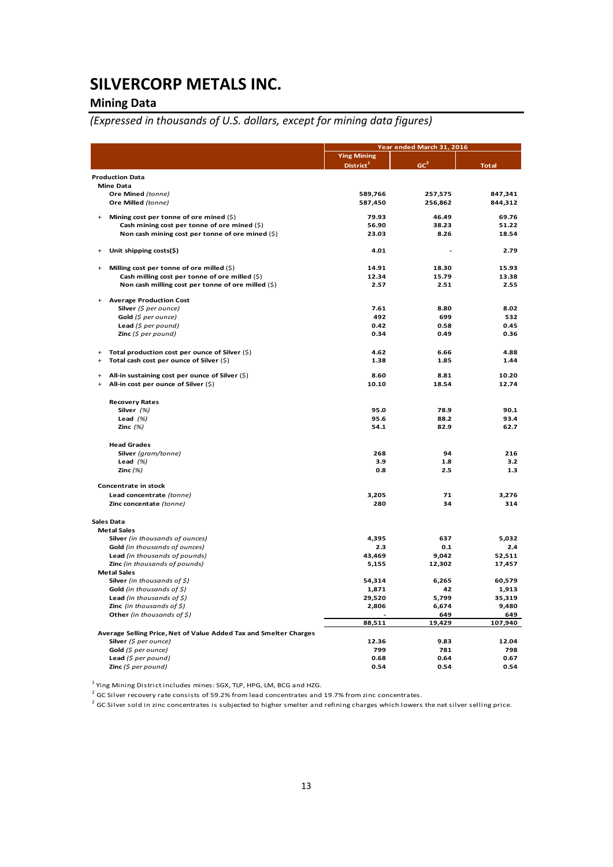## **Mining Data**

## *(Expressed in thousands of U.S. dollars, except for mining data figures)*

|                                                                                  | Year ended March 31, 2016                   |                 |                 |  |  |
|----------------------------------------------------------------------------------|---------------------------------------------|-----------------|-----------------|--|--|
|                                                                                  | <b>Ying Mining</b><br>District <sup>1</sup> | GC <sup>2</sup> | <b>Total</b>    |  |  |
| <b>Production Data</b>                                                           |                                             |                 |                 |  |  |
| <b>Mine Data</b>                                                                 |                                             |                 |                 |  |  |
| Ore Mined (tonne)                                                                | 589,766                                     | 257,575         | 847,341         |  |  |
| Ore Milled (tonne)                                                               | 587,450                                     | 256,862         | 844,312         |  |  |
| Mining cost per tonne of ore mined $(5)$                                         | 79.93                                       | 46.49           | 69.76           |  |  |
| Cash mining cost per tonne of ore mined (\$)                                     | 56.90                                       | 38.23           | 51.22           |  |  |
| Non cash mining cost per tonne of ore mined (\$)                                 | 23.03                                       | 8.26            | 18.54           |  |  |
| Unit shipping costs(\$)                                                          | 4.01                                        |                 | 2.79            |  |  |
| Milling cost per tonne of ore milled $(5)$<br>$+$                                | 14.91                                       | 18.30           | 15.93           |  |  |
| Cash milling cost per tonne of ore milled (\$)                                   | 12.34                                       | 15.79           | 13.38           |  |  |
| Non cash milling cost per tonne of ore milled $(5)$                              | 2.57                                        | 2.51            | 2.55            |  |  |
|                                                                                  |                                             |                 |                 |  |  |
| <b>Average Production Cost</b>                                                   |                                             |                 |                 |  |  |
| Silver $(5$ per ounce)                                                           | 7.61                                        | 8.80            | 8.02            |  |  |
| Gold $(\xi$ per ounce)                                                           | 492                                         | 699             | 532             |  |  |
| <b>Lead</b> (\$ per pound)                                                       | 0.42                                        | 0.58            | 0.45<br>0.36    |  |  |
| <b>Zinc</b> (\$ per pound)                                                       | 0.34                                        | 0.49            |                 |  |  |
| Total production cost per ounce of Silver (\$)                                   | 4.62                                        | 6.66            | 4.88            |  |  |
| Total cash cost per ounce of Silver (\$)<br>$+$                                  | 1.38                                        | 1.85            | 1.44            |  |  |
| All-in sustaining cost per ounce of Silver (\$)                                  | 8.60                                        | 8.81            | 10.20           |  |  |
| All-in cost per ounce of Silver (\$)                                             | 10.10                                       | 18.54           | 12.74           |  |  |
|                                                                                  |                                             |                 |                 |  |  |
| <b>Recovery Rates</b>                                                            |                                             |                 |                 |  |  |
| Silver (%)                                                                       | 95.0                                        | 78.9            | 90.1            |  |  |
| Lead $(%)$                                                                       | 95.6                                        | 88.2            | 93.4            |  |  |
| Zinc $(%)$                                                                       | 54.1                                        | 82.9            | 62.7            |  |  |
| <b>Head Grades</b>                                                               |                                             |                 |                 |  |  |
| Silver (gram/tonne)                                                              | 268                                         | 94              | 216             |  |  |
| Lead $(\%)$                                                                      | 3.9                                         | 1.8             | 3.2             |  |  |
| Zinc $(%)$                                                                       | 0.8                                         | 2.5             | 1.3             |  |  |
| Concentrate in stock                                                             |                                             |                 |                 |  |  |
| Lead concentrate (tonne)                                                         | 3,205                                       | 71              | 3,276           |  |  |
| Zinc concentate (tonne)                                                          | 280                                         | 34              | 314             |  |  |
|                                                                                  |                                             |                 |                 |  |  |
| <b>Sales Data</b>                                                                |                                             |                 |                 |  |  |
| <b>Metal Sales</b>                                                               |                                             |                 |                 |  |  |
| Silver (in thousands of ounces)                                                  | 4,395                                       | 637             | 5,032           |  |  |
| Gold (in thousands of ounces)                                                    | 2.3                                         | 0.1             | 2.4             |  |  |
| Lead (in thousands of pounds)                                                    | 43,469                                      | 9,042           | 52,511          |  |  |
| Zinc (in thousands of pounds)                                                    | 5,155                                       | 12,302          | 17,457          |  |  |
| <b>Metal Sales</b>                                                               |                                             |                 |                 |  |  |
| Silver (in thousands of $$$ )                                                    | 54,314                                      | 6,265           | 60,579          |  |  |
| <b>Gold</b> (in thousands of $\zeta$ )                                           | 1,871                                       | 42              | 1,913           |  |  |
| <b>Lead</b> (in thousands of $\zeta$ )<br><b>Zinc</b> (in thousands of $\zeta$ ) | 29,520<br>2,806                             | 5,799<br>6,674  | 35,319<br>9,480 |  |  |
| Other (in thousands of $\zeta$ )                                                 |                                             | 649             | 649             |  |  |
|                                                                                  | 88,511                                      | 19,429          | 107,940         |  |  |
| Average Selling Price, Net of Value Added Tax and Smelter Charges                |                                             |                 |                 |  |  |
| Silver (\$ per ounce)                                                            | 12.36                                       | 9.83            | 12.04           |  |  |
| Gold $(5$ per ounce)                                                             | 799                                         | 781             | 798             |  |  |
| Lead $(5 per pound)$                                                             | 0.68                                        | 0.64            | 0.67            |  |  |
| <b>Zinc</b> (\$ per pound)                                                       | 0.54                                        | 0.54            | 0.54            |  |  |

 $1$  Ying Mining District includes mines: SGX, TLP, HPG, LM, BCG and HZG.

<sup>2</sup> GC Silver recovery rate consists of 59.2% from lead concentrates and 19.7% from zinc concentrates.

 $2$  GC Silver sold in zinc concentrates is subjected to higher smelter and refining charges which lowers the net silver selling price.